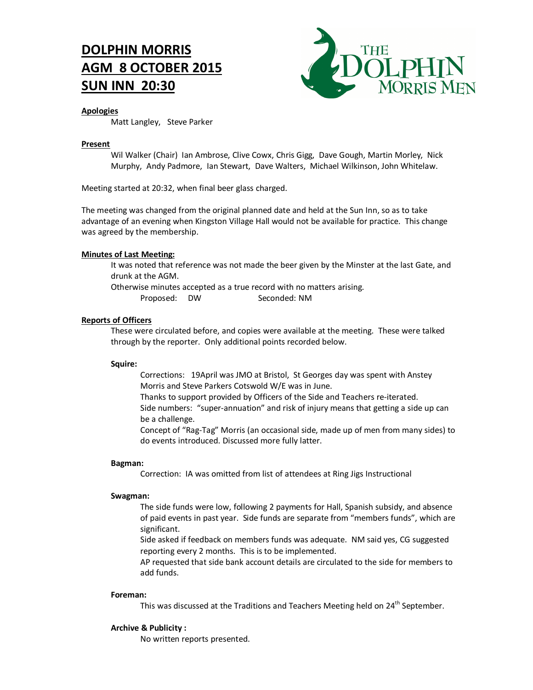# **DOLPHIN MORRIS AGM 8 OCTOBER 2015 SUN INN 20:30**



# **Apologies**

Matt Langley, Steve Parker

# **Present**

Wil Walker (Chair) Ian Ambrose, Clive Cowx, Chris Gigg, Dave Gough, Martin Morley, Nick Murphy, Andy Padmore, Ian Stewart, Dave Walters, Michael Wilkinson, John Whitelaw.

Meeting started at 20:32, when final beer glass charged.

The meeting was changed from the original planned date and held at the Sun Inn, so as to take advantage of an evening when Kingston Village Hall would not be available for practice. This change was agreed by the membership.

# **Minutes of Last Meeting:**

It was noted that reference was not made the beer given by the Minster at the last Gate, and drunk at the AGM.

Otherwise minutes accepted as a true record with no matters arising. Proposed: DW Seconded: NM

# **Reports of Officers**

These were circulated before, and copies were available at the meeting. These were talked through by the reporter. Only additional points recorded below.

# **Squire:**

Corrections: 19April was JMO at Bristol, St Georges day was spent with Anstey Morris and Steve Parkers Cotswold W/E was in June.

Thanks to support provided by Officers of the Side and Teachers re-iterated. Side numbers: "super-annuation" and risk of injury means that getting a side up can be a challenge.

Concept of "Rag-Tag" Morris (an occasional side, made up of men from many sides) to do events introduced. Discussed more fully latter.

# **Bagman:**

Correction: IA was omitted from list of attendees at Ring Jigs Instructional

# **Swagman:**

The side funds were low, following 2 payments for Hall, Spanish subsidy, and absence of paid events in past year. Side funds are separate from "members funds", which are significant.

Side asked if feedback on members funds was adequate. NM said yes, CG suggested reporting every 2 months. This is to be implemented.

AP requested that side bank account details are circulated to the side for members to add funds.

# **Foreman:**

This was discussed at the Traditions and Teachers Meeting held on 24<sup>th</sup> September.

# **Archive & Publicity :**

No written reports presented.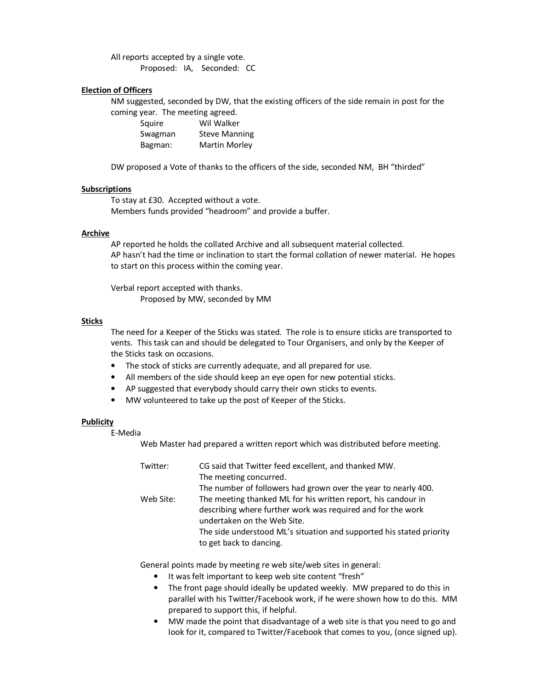All reports accepted by a single vote. Proposed: IA, Seconded: CC

#### **Election of Officers**

NM suggested, seconded by DW, that the existing officers of the side remain in post for the coming year. The meeting agreed.

| .       |                      |
|---------|----------------------|
| Squire  | Wil Walker           |
| Swagman | <b>Steve Manning</b> |
| Bagman: | <b>Martin Morley</b> |

DW proposed a Vote of thanks to the officers of the side, seconded NM, BH "thirded"

#### **Subscriptions**

To stay at £30. Accepted without a vote. Members funds provided "headroom" and provide a buffer.

### **Archive**

AP reported he holds the collated Archive and all subsequent material collected. AP hasn't had the time or inclination to start the formal collation of newer material. He hopes to start on this process within the coming year.

Verbal report accepted with thanks. Proposed by MW, seconded by MM

#### **Sticks**

The need for a Keeper of the Sticks was stated. The role is to ensure sticks are transported to vents. This task can and should be delegated to Tour Organisers, and only by the Keeper of the Sticks task on occasions.

- The stock of sticks are currently adequate, and all prepared for use.
- All members of the side should keep an eye open for new potential sticks.
- AP suggested that everybody should carry their own sticks to events.
- MW volunteered to take up the post of Keeper of the Sticks.

#### **Publicity**

E-Media

Web Master had prepared a written report which was distributed before meeting.

| Twitter:  | CG said that Twitter feed excellent, and thanked MW.                 |
|-----------|----------------------------------------------------------------------|
|           | The meeting concurred.                                               |
|           | The number of followers had grown over the year to nearly 400.       |
| Web Site: | The meeting thanked ML for his written report, his candour in        |
|           | describing where further work was required and for the work          |
|           | undertaken on the Web Site.                                          |
|           | The side understood ML's situation and supported his stated priority |
|           | to get back to dancing.                                              |

General points made by meeting re web site/web sites in general:

- It was felt important to keep web site content "fresh"
- The front page should ideally be updated weekly. MW prepared to do this in parallel with his Twitter/Facebook work, if he were shown how to do this. MM prepared to support this, if helpful.
- MW made the point that disadvantage of a web site is that you need to go and look for it, compared to Twitter/Facebook that comes to you, (once signed up).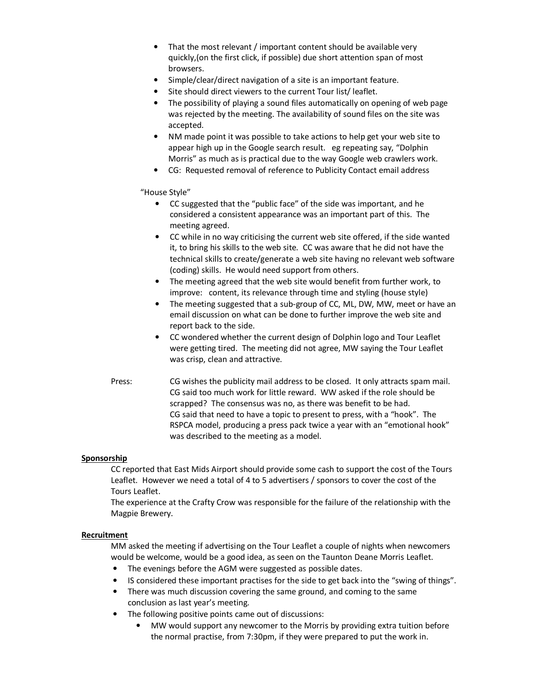- That the most relevant / important content should be available very quickly,(on the first click, if possible) due short attention span of most browsers.
- Simple/clear/direct navigation of a site is an important feature.
- Site should direct viewers to the current Tour list/ leaflet.
- The possibility of playing a sound files automatically on opening of web page was rejected by the meeting. The availability of sound files on the site was accepted.
- NM made point it was possible to take actions to help get your web site to appear high up in the Google search result. eg repeating say, "Dolphin Morris" as much as is practical due to the way Google web crawlers work.
- CG: Requested removal of reference to Publicity Contact email address

"House Style"

- CC suggested that the "public face" of the side was important, and he considered a consistent appearance was an important part of this. The meeting agreed.
- CC while in no way criticising the current web site offered, if the side wanted it, to bring his skills to the web site. CC was aware that he did not have the technical skills to create/generate a web site having no relevant web software (coding) skills. He would need support from others.
- The meeting agreed that the web site would benefit from further work, to improve: content, its relevance through time and styling (house style)
- The meeting suggested that a sub-group of CC, ML, DW, MW, meet or have an email discussion on what can be done to further improve the web site and report back to the side.
- CC wondered whether the current design of Dolphin logo and Tour Leaflet were getting tired. The meeting did not agree, MW saying the Tour Leaflet was crisp, clean and attractive.
- Press: CG wishes the publicity mail address to be closed. It only attracts spam mail. CG said too much work for little reward. WW asked if the role should be scrapped? The consensus was no, as there was benefit to be had. CG said that need to have a topic to present to press, with a "hook". The RSPCA model, producing a press pack twice a year with an "emotional hook" was described to the meeting as a model.

# **Sponsorship**

CC reported that East Mids Airport should provide some cash to support the cost of the Tours Leaflet. However we need a total of 4 to 5 advertisers / sponsors to cover the cost of the Tours Leaflet.

The experience at the Crafty Crow was responsible for the failure of the relationship with the Magpie Brewery.

#### **Recruitment**

MM asked the meeting if advertising on the Tour Leaflet a couple of nights when newcomers would be welcome, would be a good idea, as seen on the Taunton Deane Morris Leaflet.

- The evenings before the AGM were suggested as possible dates.
- IS considered these important practises for the side to get back into the "swing of things".
- There was much discussion covering the same ground, and coming to the same conclusion as last year's meeting.
- The following positive points came out of discussions:
	- MW would support any newcomer to the Morris by providing extra tuition before the normal practise, from 7:30pm, if they were prepared to put the work in.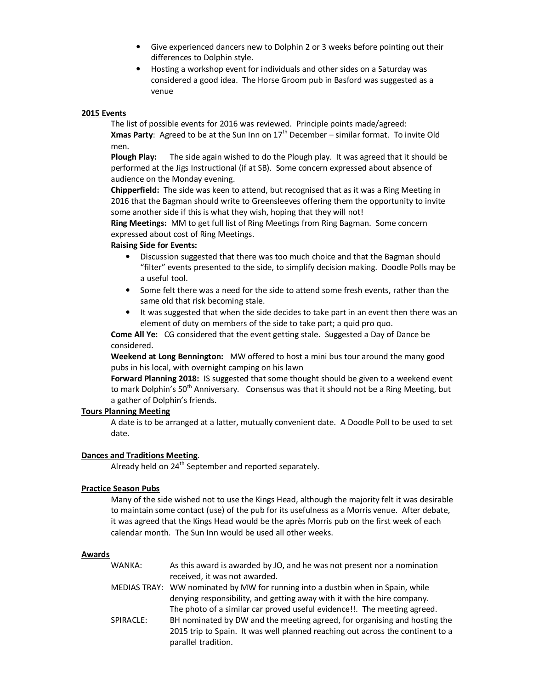- Give experienced dancers new to Dolphin 2 or 3 weeks before pointing out their differences to Dolphin style.
- Hosting a workshop event for individuals and other sides on a Saturday was considered a good idea. The Horse Groom pub in Basford was suggested as a venue

#### **2015 Events**

The list of possible events for 2016 was reviewed. Principle points made/agreed: **Xmas Party**: Agreed to be at the Sun Inn on 17th December – similar format. To invite Old men.

**Plough Play:** The side again wished to do the Plough play. It was agreed that it should be performed at the Jigs Instructional (if at SB). Some concern expressed about absence of audience on the Monday evening.

**Chipperfield:** The side was keen to attend, but recognised that as it was a Ring Meeting in 2016 that the Bagman should write to Greensleeves offering them the opportunity to invite some another side if this is what they wish, hoping that they will not!

**Ring Meetings:** MM to get full list of Ring Meetings from Ring Bagman. Some concern expressed about cost of Ring Meetings.

#### **Raising Side for Events:**

- Discussion suggested that there was too much choice and that the Bagman should "filter" events presented to the side, to simplify decision making. Doodle Polls may be a useful tool.
- Some felt there was a need for the side to attend some fresh events, rather than the same old that risk becoming stale.
- It was suggested that when the side decides to take part in an event then there was an element of duty on members of the side to take part; a quid pro quo.

**Come All Ye:** CG considered that the event getting stale. Suggested a Day of Dance be considered.

**Weekend at Long Bennington:** MW offered to host a mini bus tour around the many good pubs in his local, with overnight camping on his lawn

**Forward Planning 2018:** IS suggested that some thought should be given to a weekend event to mark Dolphin's  $50<sup>th</sup>$  Anniversary. Consensus was that it should not be a Ring Meeting, but a gather of Dolphin's friends.

#### **Tours Planning Meeting**

A date is to be arranged at a latter, mutually convenient date. A Doodle Poll to be used to set date.

# **Dances and Traditions Meeting**.

Already held on 24<sup>th</sup> September and reported separately.

# **Practice Season Pubs**

Many of the side wished not to use the Kings Head, although the majority felt it was desirable to maintain some contact (use) of the pub for its usefulness as a Morris venue. After debate, it was agreed that the Kings Head would be the après Morris pub on the first week of each calendar month. The Sun Inn would be used all other weeks.

#### **Awards**

- WANKA: As this award is awarded by JO, and he was not present nor a nomination received, it was not awarded.
- MEDIAS TRAY: WW nominated by MW for running into a dustbin when in Spain, while denying responsibility, and getting away with it with the hire company. The photo of a similar car proved useful evidence!!. The meeting agreed.
- SPIRACLE: BH nominated by DW and the meeting agreed, for organising and hosting the 2015 trip to Spain. It was well planned reaching out across the continent to a parallel tradition.